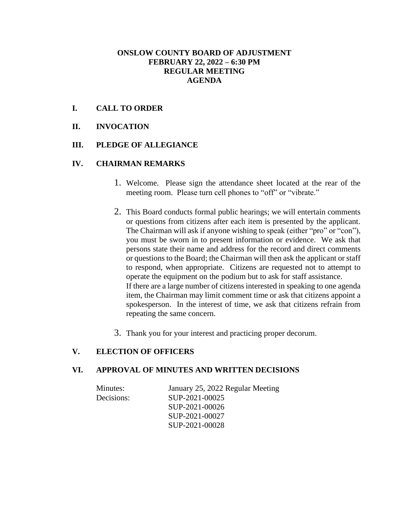### **ONSLOW COUNTY BOARD OF ADJUSTMENT FEBRUARY 22, 2022 – 6:30 PM REGULAR MEETING AGENDA**

### **I. CALL TO ORDER**

### **II. INVOCATION**

### **III. PLEDGE OF ALLEGIANCE**

#### **IV. CHAIRMAN REMARKS**

- 1. Welcome. Please sign the attendance sheet located at the rear of the meeting room. Please turn cell phones to "off" or "vibrate."
- 2. This Board conducts formal public hearings; we will entertain comments or questions from citizens after each item is presented by the applicant. The Chairman will ask if anyone wishing to speak (either "pro" or "con"), you must be sworn in to present information or evidence. We ask that persons state their name and address for the record and direct comments or questions to the Board; the Chairman will then ask the applicant or staff to respond, when appropriate. Citizens are requested not to attempt to operate the equipment on the podium but to ask for staff assistance. If there are a large number of citizens interested in speaking to one agenda item, the Chairman may limit comment time or ask that citizens appoint a spokesperson. In the interest of time, we ask that citizens refrain from repeating the same concern.
- 3. Thank you for your interest and practicing proper decorum.

### **V. ELECTION OF OFFICERS**

#### **VI. APPROVAL OF MINUTES AND WRITTEN DECISIONS**

| Minutes:   | January 25, 2022 Regular Meeting |
|------------|----------------------------------|
| Decisions: | SUP-2021-00025                   |
|            | SUP-2021-00026                   |
|            | SUP-2021-00027                   |
|            | SUP-2021-00028                   |